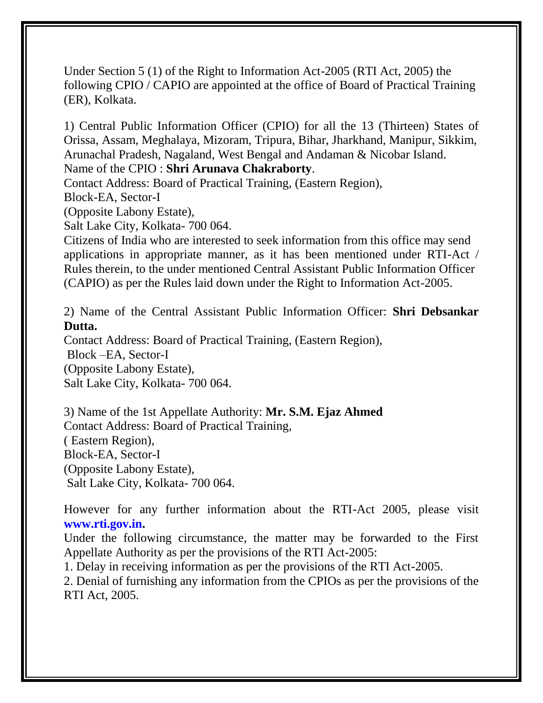Under Section 5 (1) of the Right to Information Act-2005 (RTI Act, 2005) the following CPIO / CAPIO are appointed at the office of Board of Practical Training (ER), Kolkata.

1) Central Public Information Officer (CPIO) for all the 13 (Thirteen) States of Orissa, Assam, Meghalaya, Mizoram, Tripura, Bihar, Jharkhand, Manipur, Sikkim, Arunachal Pradesh, Nagaland, West Bengal and Andaman & Nicobar Island.

Name of the CPIO : **Shri Arunava Chakraborty**.

Contact Address: Board of Practical Training, (Eastern Region),

Block-EA, Sector-I

(Opposite Labony Estate),

Salt Lake City, Kolkata- 700 064.

Citizens of India who are interested to seek information from this office may send applications in appropriate manner, as it has been mentioned under RTI-Act / Rules therein, to the under mentioned Central Assistant Public Information Officer (CAPIO) as per the Rules laid down under the Right to Information Act-2005.

2) Name of the Central Assistant Public Information Officer: **Shri Debsankar Dutta.**

Contact Address: Board of Practical Training, (Eastern Region),

Block –EA, Sector-I (Opposite Labony Estate), Salt Lake City, Kolkata- 700 064.

3) Name of the 1st Appellate Authority: **Mr. S.M. Ejaz Ahmed** Contact Address: Board of Practical Training, ( Eastern Region), Block-EA, Sector-I (Opposite Labony Estate), Salt Lake City, Kolkata- 700 064.

However for any further information about the RTI-Act 2005, please visit **www.rti.gov.in.**

Under the following circumstance, the matter may be forwarded to the First Appellate Authority as per the provisions of the RTI Act-2005:

1. Delay in receiving information as per the provisions of the RTI Act-2005.

2. Denial of furnishing any information from the CPIOs as per the provisions of the RTI Act, 2005.